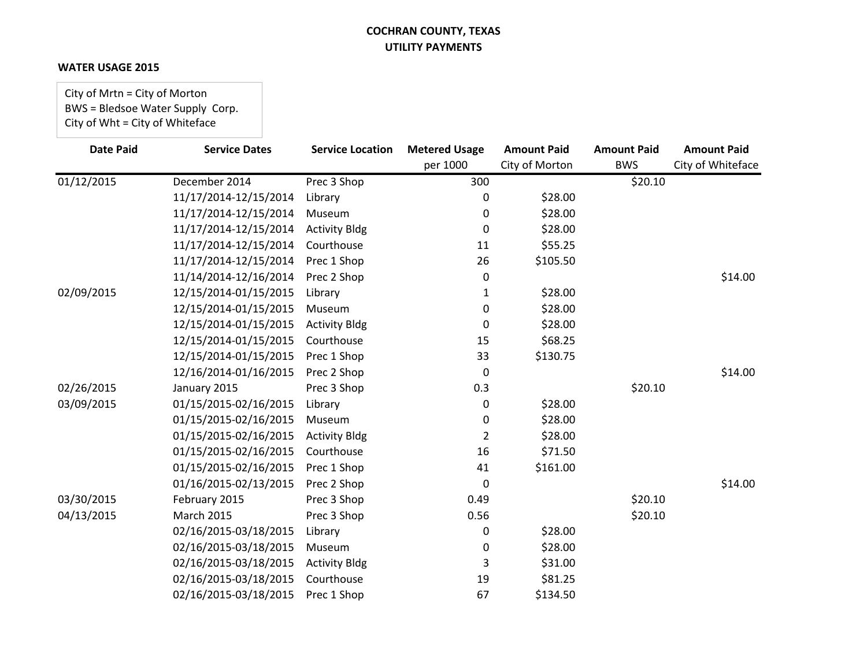### **WATER USAGE 2015**

City of Mrtn = City of Morton BWS = Bledsoe Water Supply Corp. City of Wht = City of Whiteface

| <b>Date Paid</b> | <b>Service Dates</b>  | <b>Service Location</b> | <b>Metered Usage</b> | <b>Amount Paid</b> | <b>Amount Paid</b> | <b>Amount Paid</b> |
|------------------|-----------------------|-------------------------|----------------------|--------------------|--------------------|--------------------|
|                  |                       |                         | per 1000             | City of Morton     | <b>BWS</b>         | City of Whiteface  |
| 01/12/2015       | December 2014         | Prec 3 Shop             | 300                  |                    | \$20.10            |                    |
|                  | 11/17/2014-12/15/2014 | Library                 | 0                    | \$28.00            |                    |                    |
|                  | 11/17/2014-12/15/2014 | Museum                  | 0                    | \$28.00            |                    |                    |
|                  | 11/17/2014-12/15/2014 | <b>Activity Bldg</b>    | 0                    | \$28.00            |                    |                    |
|                  | 11/17/2014-12/15/2014 | Courthouse              | 11                   | \$55.25            |                    |                    |
|                  | 11/17/2014-12/15/2014 | Prec 1 Shop             | 26                   | \$105.50           |                    |                    |
|                  | 11/14/2014-12/16/2014 | Prec 2 Shop             | 0                    |                    |                    | \$14.00            |
| 02/09/2015       | 12/15/2014-01/15/2015 | Library                 | 1                    | \$28.00            |                    |                    |
|                  | 12/15/2014-01/15/2015 | Museum                  | 0                    | \$28.00            |                    |                    |
|                  | 12/15/2014-01/15/2015 | <b>Activity Bldg</b>    | 0                    | \$28.00            |                    |                    |
|                  | 12/15/2014-01/15/2015 | Courthouse              | 15                   | \$68.25            |                    |                    |
|                  | 12/15/2014-01/15/2015 | Prec 1 Shop             | 33                   | \$130.75           |                    |                    |
|                  | 12/16/2014-01/16/2015 | Prec 2 Shop             | 0                    |                    |                    | \$14.00            |
| 02/26/2015       | January 2015          | Prec 3 Shop             | 0.3                  |                    | \$20.10            |                    |
| 03/09/2015       | 01/15/2015-02/16/2015 | Library                 | 0                    | \$28.00            |                    |                    |
|                  | 01/15/2015-02/16/2015 | Museum                  | 0                    | \$28.00            |                    |                    |
|                  | 01/15/2015-02/16/2015 | <b>Activity Bldg</b>    | 2                    | \$28.00            |                    |                    |
|                  | 01/15/2015-02/16/2015 | Courthouse              | 16                   | \$71.50            |                    |                    |
|                  | 01/15/2015-02/16/2015 | Prec 1 Shop             | 41                   | \$161.00           |                    |                    |
|                  | 01/16/2015-02/13/2015 | Prec 2 Shop             | 0                    |                    |                    | \$14.00            |
| 03/30/2015       | February 2015         | Prec 3 Shop             | 0.49                 |                    | \$20.10            |                    |
| 04/13/2015       | <b>March 2015</b>     | Prec 3 Shop             | 0.56                 |                    | \$20.10            |                    |
|                  | 02/16/2015-03/18/2015 | Library                 | 0                    | \$28.00            |                    |                    |
|                  | 02/16/2015-03/18/2015 | Museum                  | 0                    | \$28.00            |                    |                    |
|                  | 02/16/2015-03/18/2015 | <b>Activity Bldg</b>    | 3                    | \$31.00            |                    |                    |
|                  | 02/16/2015-03/18/2015 | Courthouse              | 19                   | \$81.25            |                    |                    |
|                  | 02/16/2015-03/18/2015 | Prec 1 Shop             | 67                   | \$134.50           |                    |                    |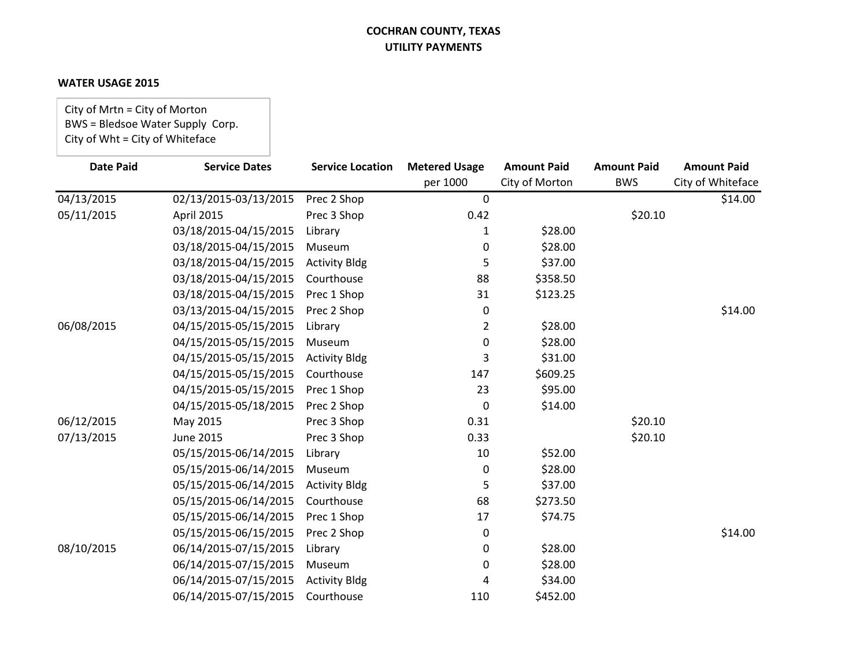#### **WATER USAGE 2015**

City of Mrtn = City of Morton BWS = Bledsoe Water Supply Corp. City of Wht = City of Whiteface

| <b>Date Paid</b> | <b>Service Dates</b>  | <b>Service Location</b> | <b>Metered Usage</b> | <b>Amount Paid</b> | <b>Amount Paid</b> | <b>Amount Paid</b> |
|------------------|-----------------------|-------------------------|----------------------|--------------------|--------------------|--------------------|
|                  |                       |                         | per 1000             | City of Morton     | <b>BWS</b>         | City of Whiteface  |
| 04/13/2015       | 02/13/2015-03/13/2015 | Prec 2 Shop             | $\boldsymbol{0}$     |                    |                    | \$14.00            |
| 05/11/2015       | April 2015            | Prec 3 Shop             | 0.42                 |                    | \$20.10            |                    |
|                  | 03/18/2015-04/15/2015 | Library                 | 1                    | \$28.00            |                    |                    |
|                  | 03/18/2015-04/15/2015 | Museum                  | 0                    | \$28.00            |                    |                    |
|                  | 03/18/2015-04/15/2015 | <b>Activity Bldg</b>    | 5                    | \$37.00            |                    |                    |
|                  | 03/18/2015-04/15/2015 | Courthouse              | 88                   | \$358.50           |                    |                    |
|                  | 03/18/2015-04/15/2015 | Prec 1 Shop             | 31                   | \$123.25           |                    |                    |
|                  | 03/13/2015-04/15/2015 | Prec 2 Shop             | 0                    |                    |                    | \$14.00            |
| 06/08/2015       | 04/15/2015-05/15/2015 | Library                 | 2                    | \$28.00            |                    |                    |
|                  | 04/15/2015-05/15/2015 | Museum                  | 0                    | \$28.00            |                    |                    |
|                  | 04/15/2015-05/15/2015 | <b>Activity Bldg</b>    | 3                    | \$31.00            |                    |                    |
|                  | 04/15/2015-05/15/2015 | Courthouse              | 147                  | \$609.25           |                    |                    |
|                  | 04/15/2015-05/15/2015 | Prec 1 Shop             | 23                   | \$95.00            |                    |                    |
|                  | 04/15/2015-05/18/2015 | Prec 2 Shop             | 0                    | \$14.00            |                    |                    |
| 06/12/2015       | May 2015              | Prec 3 Shop             | 0.31                 |                    | \$20.10            |                    |
| 07/13/2015       | <b>June 2015</b>      | Prec 3 Shop             | 0.33                 |                    | \$20.10            |                    |
|                  | 05/15/2015-06/14/2015 | Library                 | 10                   | \$52.00            |                    |                    |
|                  | 05/15/2015-06/14/2015 | Museum                  | 0                    | \$28.00            |                    |                    |
|                  | 05/15/2015-06/14/2015 | <b>Activity Bldg</b>    | 5                    | \$37.00            |                    |                    |
|                  | 05/15/2015-06/14/2015 | Courthouse              | 68                   | \$273.50           |                    |                    |
|                  | 05/15/2015-06/14/2015 | Prec 1 Shop             | 17                   | \$74.75            |                    |                    |
|                  | 05/15/2015-06/15/2015 | Prec 2 Shop             | 0                    |                    |                    | \$14.00            |
| 08/10/2015       | 06/14/2015-07/15/2015 | Library                 | 0                    | \$28.00            |                    |                    |
|                  | 06/14/2015-07/15/2015 | Museum                  | 0                    | \$28.00            |                    |                    |
|                  | 06/14/2015-07/15/2015 | <b>Activity Bldg</b>    | 4                    | \$34.00            |                    |                    |
|                  | 06/14/2015-07/15/2015 | Courthouse              | 110                  | \$452.00           |                    |                    |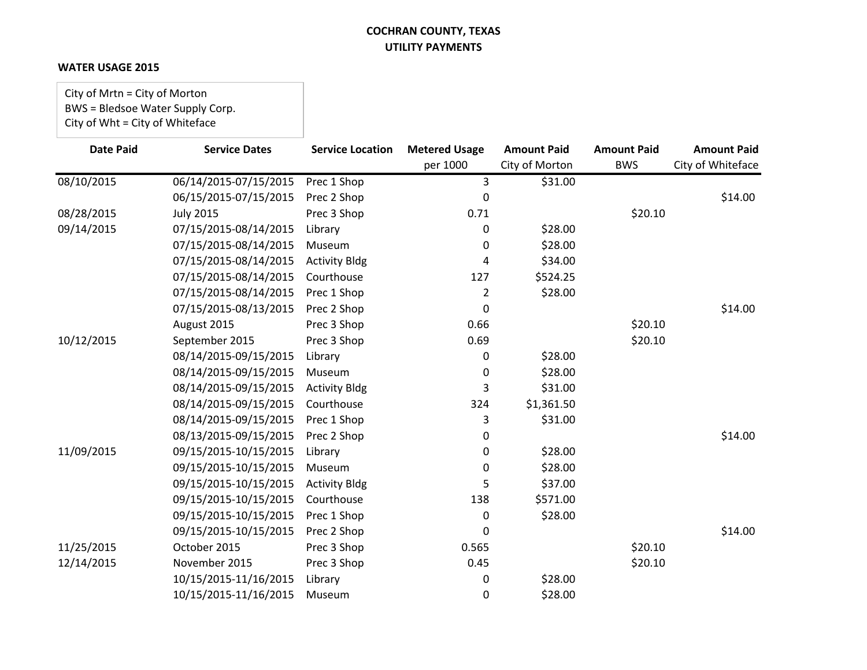### **WATER USAGE 2015**

City of Mrtn = City of Morton BWS = Bledsoe Water Supply Corp. City of Wht = City of Whiteface

| <b>Date Paid</b> | <b>Service Dates</b>  | <b>Service Location</b> | <b>Metered Usage</b> | <b>Amount Paid</b> | <b>Amount Paid</b> | <b>Amount Paid</b> |
|------------------|-----------------------|-------------------------|----------------------|--------------------|--------------------|--------------------|
|                  |                       |                         | per 1000             | City of Morton     | <b>BWS</b>         | City of Whiteface  |
| 08/10/2015       | 06/14/2015-07/15/2015 | Prec 1 Shop             | 3                    | \$31.00            |                    |                    |
|                  | 06/15/2015-07/15/2015 | Prec 2 Shop             | 0                    |                    |                    | \$14.00            |
| 08/28/2015       | <b>July 2015</b>      | Prec 3 Shop             | 0.71                 |                    | \$20.10            |                    |
| 09/14/2015       | 07/15/2015-08/14/2015 | Library                 | 0                    | \$28.00            |                    |                    |
|                  | 07/15/2015-08/14/2015 | Museum                  | 0                    | \$28.00            |                    |                    |
|                  | 07/15/2015-08/14/2015 | <b>Activity Bldg</b>    | 4                    | \$34.00            |                    |                    |
|                  | 07/15/2015-08/14/2015 | Courthouse              | 127                  | \$524.25           |                    |                    |
|                  | 07/15/2015-08/14/2015 | Prec 1 Shop             | 2                    | \$28.00            |                    |                    |
|                  | 07/15/2015-08/13/2015 | Prec 2 Shop             | 0                    |                    |                    | \$14.00            |
|                  | August 2015           | Prec 3 Shop             | 0.66                 |                    | \$20.10            |                    |
| 10/12/2015       | September 2015        | Prec 3 Shop             | 0.69                 |                    | \$20.10            |                    |
|                  | 08/14/2015-09/15/2015 | Library                 | 0                    | \$28.00            |                    |                    |
|                  | 08/14/2015-09/15/2015 | Museum                  | 0                    | \$28.00            |                    |                    |
|                  | 08/14/2015-09/15/2015 | <b>Activity Bldg</b>    | 3                    | \$31.00            |                    |                    |
|                  | 08/14/2015-09/15/2015 | Courthouse              | 324                  | \$1,361.50         |                    |                    |
|                  | 08/14/2015-09/15/2015 | Prec 1 Shop             | 3                    | \$31.00            |                    |                    |
|                  | 08/13/2015-09/15/2015 | Prec 2 Shop             | 0                    |                    |                    | \$14.00            |
| 11/09/2015       | 09/15/2015-10/15/2015 | Library                 | 0                    | \$28.00            |                    |                    |
|                  | 09/15/2015-10/15/2015 | Museum                  | 0                    | \$28.00            |                    |                    |
|                  | 09/15/2015-10/15/2015 | <b>Activity Bldg</b>    | 5                    | \$37.00            |                    |                    |
|                  | 09/15/2015-10/15/2015 | Courthouse              | 138                  | \$571.00           |                    |                    |
|                  | 09/15/2015-10/15/2015 | Prec 1 Shop             | 0                    | \$28.00            |                    |                    |
|                  | 09/15/2015-10/15/2015 | Prec 2 Shop             | 0                    |                    |                    | \$14.00            |
| 11/25/2015       | October 2015          | Prec 3 Shop             | 0.565                |                    | \$20.10            |                    |
| 12/14/2015       | November 2015         | Prec 3 Shop             | 0.45                 |                    | \$20.10            |                    |
|                  | 10/15/2015-11/16/2015 | Library                 | 0                    | \$28.00            |                    |                    |
|                  | 10/15/2015-11/16/2015 | Museum                  | 0                    | \$28.00            |                    |                    |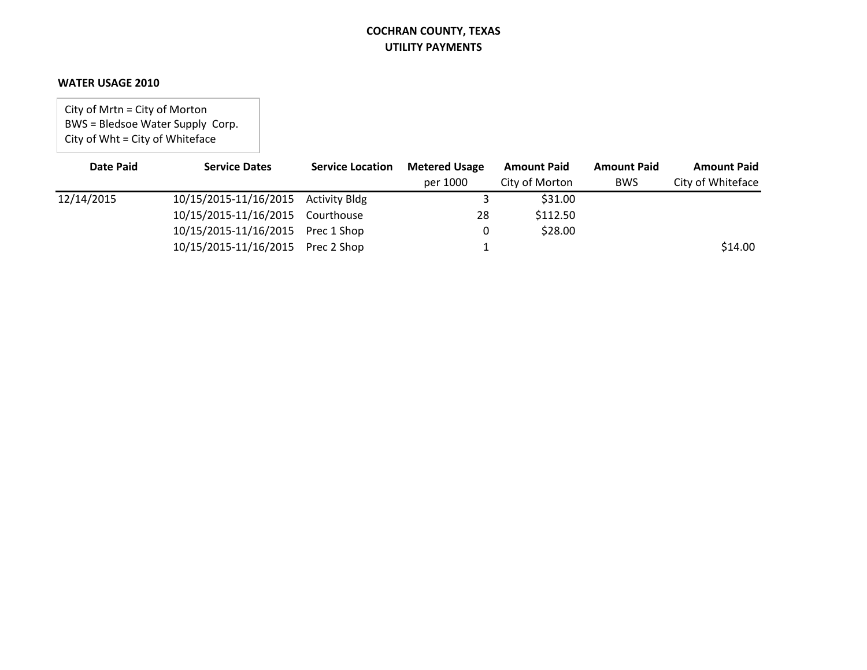#### **WATER USAGE 2010**

City of Mrtn = City of Morton BWS = Bledsoe Water Supply Corp. City of Wht = City of Whiteface

| <b>Date Paid</b> | <b>Service Dates</b>                | <b>Service Location</b> | <b>Metered Usage</b> | <b>Amount Paid</b> | <b>Amount Paid</b> | <b>Amount Paid</b> |
|------------------|-------------------------------------|-------------------------|----------------------|--------------------|--------------------|--------------------|
|                  |                                     |                         | per 1000             | City of Morton     | <b>BWS</b>         | City of Whiteface  |
| 12/14/2015       | 10/15/2015-11/16/2015 Activity Bldg |                         |                      | \$31.00            |                    |                    |
|                  | 10/15/2015-11/16/2015 Courthouse    |                         | 28                   | \$112.50           |                    |                    |
|                  | 10/15/2015-11/16/2015 Prec 1 Shop   |                         |                      | \$28.00            |                    |                    |
|                  | 10/15/2015-11/16/2015 Prec 2 Shop   |                         |                      |                    |                    | \$14.00            |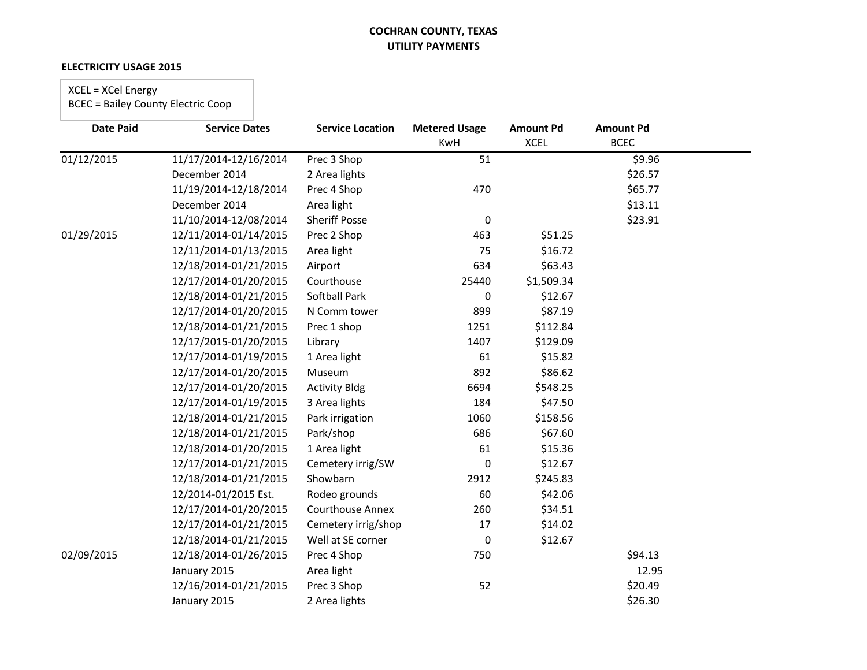### **ELECTRICITY USAGE 2015**

### XCEL = XCel Energy

| <b>Date Paid</b> | <b>Service Dates</b>  | <b>Service Location</b> | <b>Metered Usage</b> | <b>Amount Pd</b> | <b>Amount Pd</b> |  |
|------------------|-----------------------|-------------------------|----------------------|------------------|------------------|--|
|                  |                       |                         | KwH                  | <b>XCEL</b>      | <b>BCEC</b>      |  |
| 01/12/2015       | 11/17/2014-12/16/2014 | Prec 3 Shop             | 51                   |                  | \$9.96           |  |
|                  | December 2014         | 2 Area lights           |                      |                  | \$26.57          |  |
|                  | 11/19/2014-12/18/2014 | Prec 4 Shop             | 470                  |                  | \$65.77          |  |
|                  | December 2014         | Area light              |                      |                  | \$13.11          |  |
|                  | 11/10/2014-12/08/2014 | <b>Sheriff Posse</b>    | $\pmb{0}$            |                  | \$23.91          |  |
| 01/29/2015       | 12/11/2014-01/14/2015 | Prec 2 Shop             | 463                  | \$51.25          |                  |  |
|                  | 12/11/2014-01/13/2015 | Area light              | 75                   | \$16.72          |                  |  |
|                  | 12/18/2014-01/21/2015 | Airport                 | 634                  | \$63.43          |                  |  |
|                  | 12/17/2014-01/20/2015 | Courthouse              | 25440                | \$1,509.34       |                  |  |
|                  | 12/18/2014-01/21/2015 | <b>Softball Park</b>    | 0                    | \$12.67          |                  |  |
|                  | 12/17/2014-01/20/2015 | N Comm tower            | 899                  | \$87.19          |                  |  |
|                  | 12/18/2014-01/21/2015 | Prec 1 shop             | 1251                 | \$112.84         |                  |  |
|                  | 12/17/2015-01/20/2015 | Library                 | 1407                 | \$129.09         |                  |  |
|                  | 12/17/2014-01/19/2015 | 1 Area light            | 61                   | \$15.82          |                  |  |
|                  | 12/17/2014-01/20/2015 | Museum                  | 892                  | \$86.62          |                  |  |
|                  | 12/17/2014-01/20/2015 | <b>Activity Bldg</b>    | 6694                 | \$548.25         |                  |  |
|                  | 12/17/2014-01/19/2015 | 3 Area lights           | 184                  | \$47.50          |                  |  |
|                  | 12/18/2014-01/21/2015 | Park irrigation         | 1060                 | \$158.56         |                  |  |
|                  | 12/18/2014-01/21/2015 | Park/shop               | 686                  | \$67.60          |                  |  |
|                  | 12/18/2014-01/20/2015 | 1 Area light            | 61                   | \$15.36          |                  |  |
|                  | 12/17/2014-01/21/2015 | Cemetery irrig/SW       | 0                    | \$12.67          |                  |  |
|                  | 12/18/2014-01/21/2015 | Showbarn                | 2912                 | \$245.83         |                  |  |
|                  | 12/2014-01/2015 Est.  | Rodeo grounds           | 60                   | \$42.06          |                  |  |
|                  | 12/17/2014-01/20/2015 | Courthouse Annex        | 260                  | \$34.51          |                  |  |
|                  | 12/17/2014-01/21/2015 | Cemetery irrig/shop     | $17\,$               | \$14.02          |                  |  |
|                  | 12/18/2014-01/21/2015 | Well at SE corner       | 0                    | \$12.67          |                  |  |
| 02/09/2015       | 12/18/2014-01/26/2015 | Prec 4 Shop             | 750                  |                  | \$94.13          |  |
|                  | January 2015          | Area light              |                      |                  | 12.95            |  |
|                  | 12/16/2014-01/21/2015 | Prec 3 Shop             | 52                   |                  | \$20.49          |  |
|                  | January 2015          | 2 Area lights           |                      |                  | \$26.30          |  |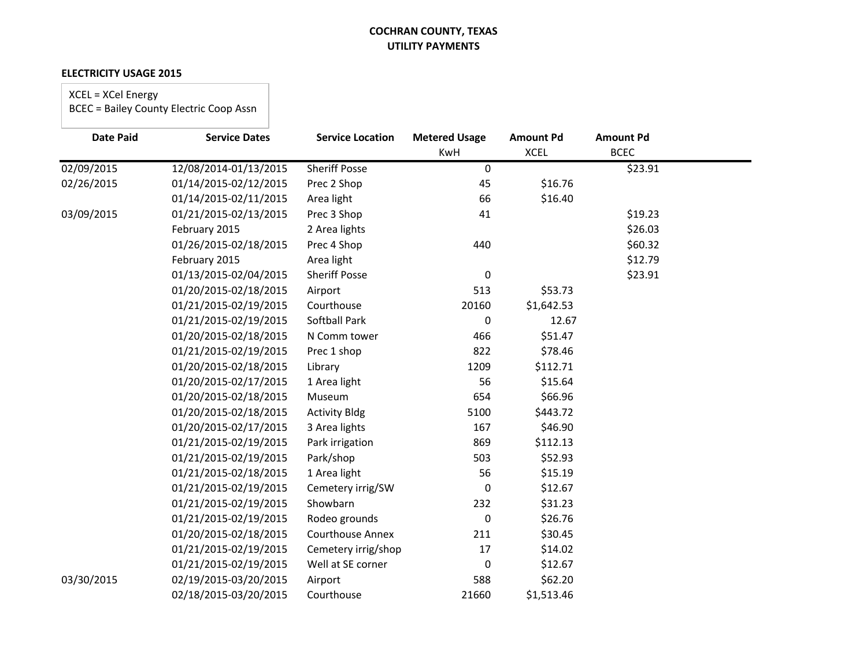#### **ELECTRICITY USAGE 2015**

# XCEL = XCel Energy

| <b>Date Paid</b> | <b>Service Dates</b>  | <b>Service Location</b> | <b>Metered Usage</b> | <b>Amount Pd</b> | <b>Amount Pd</b> |  |
|------------------|-----------------------|-------------------------|----------------------|------------------|------------------|--|
|                  |                       |                         | KwH                  | <b>XCEL</b>      | <b>BCEC</b>      |  |
| 02/09/2015       | 12/08/2014-01/13/2015 | <b>Sheriff Posse</b>    | 0                    |                  | \$23.91          |  |
| 02/26/2015       | 01/14/2015-02/12/2015 | Prec 2 Shop             | 45                   | \$16.76          |                  |  |
|                  | 01/14/2015-02/11/2015 | Area light              | 66                   | \$16.40          |                  |  |
| 03/09/2015       | 01/21/2015-02/13/2015 | Prec 3 Shop             | 41                   |                  | \$19.23          |  |
|                  | February 2015         | 2 Area lights           |                      |                  | \$26.03          |  |
|                  | 01/26/2015-02/18/2015 | Prec 4 Shop             | 440                  |                  | \$60.32          |  |
|                  | February 2015         | Area light              |                      |                  | \$12.79          |  |
|                  | 01/13/2015-02/04/2015 | <b>Sheriff Posse</b>    | 0                    |                  | \$23.91          |  |
|                  | 01/20/2015-02/18/2015 | Airport                 | 513                  | \$53.73          |                  |  |
|                  | 01/21/2015-02/19/2015 | Courthouse              | 20160                | \$1,642.53       |                  |  |
|                  | 01/21/2015-02/19/2015 | <b>Softball Park</b>    | 0                    | 12.67            |                  |  |
|                  | 01/20/2015-02/18/2015 | N Comm tower            | 466                  | \$51.47          |                  |  |
|                  | 01/21/2015-02/19/2015 | Prec 1 shop             | 822                  | \$78.46          |                  |  |
|                  | 01/20/2015-02/18/2015 | Library                 | 1209                 | \$112.71         |                  |  |
|                  | 01/20/2015-02/17/2015 | 1 Area light            | 56                   | \$15.64          |                  |  |
|                  | 01/20/2015-02/18/2015 | Museum                  | 654                  | \$66.96          |                  |  |
|                  | 01/20/2015-02/18/2015 | <b>Activity Bldg</b>    | 5100                 | \$443.72         |                  |  |
|                  | 01/20/2015-02/17/2015 | 3 Area lights           | 167                  | \$46.90          |                  |  |
|                  | 01/21/2015-02/19/2015 | Park irrigation         | 869                  | \$112.13         |                  |  |
|                  | 01/21/2015-02/19/2015 | Park/shop               | 503                  | \$52.93          |                  |  |
|                  | 01/21/2015-02/18/2015 | 1 Area light            | 56                   | \$15.19          |                  |  |
|                  | 01/21/2015-02/19/2015 | Cemetery irrig/SW       | 0                    | \$12.67          |                  |  |
|                  | 01/21/2015-02/19/2015 | Showbarn                | 232                  | \$31.23          |                  |  |
|                  | 01/21/2015-02/19/2015 | Rodeo grounds           | 0                    | \$26.76          |                  |  |
|                  | 01/20/2015-02/18/2015 | <b>Courthouse Annex</b> | 211                  | \$30.45          |                  |  |
|                  | 01/21/2015-02/19/2015 | Cemetery irrig/shop     | 17                   | \$14.02          |                  |  |
|                  | 01/21/2015-02/19/2015 | Well at SE corner       | 0                    | \$12.67          |                  |  |
| 03/30/2015       | 02/19/2015-03/20/2015 | Airport                 | 588                  | \$62.20          |                  |  |
|                  | 02/18/2015-03/20/2015 | Courthouse              | 21660                | \$1,513.46       |                  |  |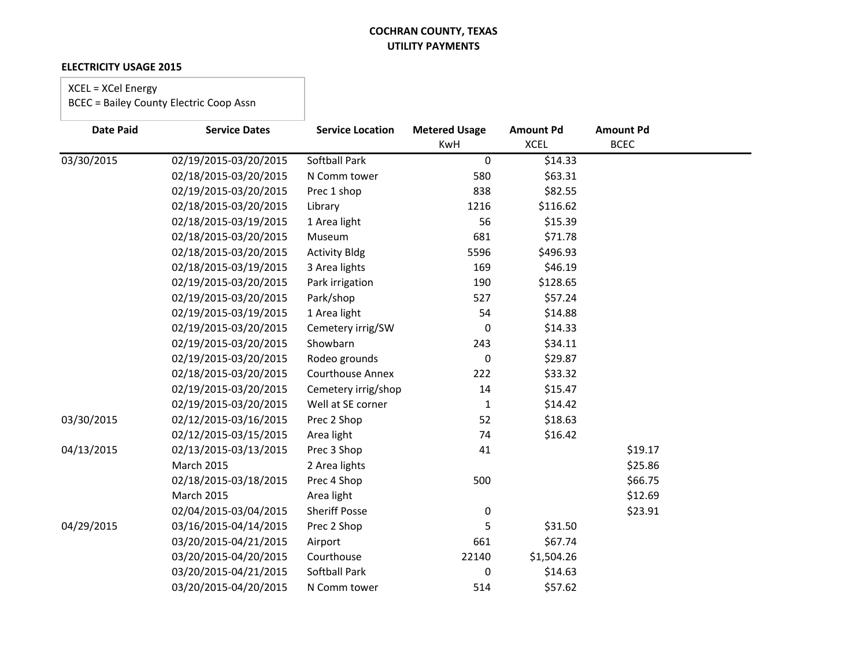### **ELECTRICITY USAGE 2015**

### XCEL = XCel Energy

| <b>Date Paid</b> | <b>Service Dates</b>  | <b>Service Location</b> | <b>Metered Usage</b> | <b>Amount Pd</b> | <b>Amount Pd</b> |
|------------------|-----------------------|-------------------------|----------------------|------------------|------------------|
|                  |                       |                         | KwH                  | <b>XCEL</b>      | <b>BCEC</b>      |
| 03/30/2015       | 02/19/2015-03/20/2015 | <b>Softball Park</b>    | 0                    | \$14.33          |                  |
|                  | 02/18/2015-03/20/2015 | N Comm tower            | 580                  | \$63.31          |                  |
|                  | 02/19/2015-03/20/2015 | Prec 1 shop             | 838                  | \$82.55          |                  |
|                  | 02/18/2015-03/20/2015 | Library                 | 1216                 | \$116.62         |                  |
|                  | 02/18/2015-03/19/2015 | 1 Area light            | 56                   | \$15.39          |                  |
|                  | 02/18/2015-03/20/2015 | Museum                  | 681                  | \$71.78          |                  |
|                  | 02/18/2015-03/20/2015 | <b>Activity Bldg</b>    | 5596                 | \$496.93         |                  |
|                  | 02/18/2015-03/19/2015 | 3 Area lights           | 169                  | \$46.19          |                  |
|                  | 02/19/2015-03/20/2015 | Park irrigation         | 190                  | \$128.65         |                  |
|                  | 02/19/2015-03/20/2015 | Park/shop               | 527                  | \$57.24          |                  |
|                  | 02/19/2015-03/19/2015 | 1 Area light            | 54                   | \$14.88          |                  |
|                  | 02/19/2015-03/20/2015 | Cemetery irrig/SW       | $\mathbf 0$          | \$14.33          |                  |
|                  | 02/19/2015-03/20/2015 | Showbarn                | 243                  | \$34.11          |                  |
|                  | 02/19/2015-03/20/2015 | Rodeo grounds           | 0                    | \$29.87          |                  |
|                  | 02/18/2015-03/20/2015 | <b>Courthouse Annex</b> | 222                  | \$33.32          |                  |
|                  | 02/19/2015-03/20/2015 | Cemetery irrig/shop     | 14                   | \$15.47          |                  |
|                  | 02/19/2015-03/20/2015 | Well at SE corner       | $\mathbf{1}$         | \$14.42          |                  |
| 03/30/2015       | 02/12/2015-03/16/2015 | Prec 2 Shop             | 52                   | \$18.63          |                  |
|                  | 02/12/2015-03/15/2015 | Area light              | 74                   | \$16.42          |                  |
| 04/13/2015       | 02/13/2015-03/13/2015 | Prec 3 Shop             | 41                   |                  | \$19.17          |
|                  | <b>March 2015</b>     | 2 Area lights           |                      |                  | \$25.86          |
|                  | 02/18/2015-03/18/2015 | Prec 4 Shop             | 500                  |                  | \$66.75          |
|                  | <b>March 2015</b>     | Area light              |                      |                  | \$12.69          |
|                  | 02/04/2015-03/04/2015 | <b>Sheriff Posse</b>    | $\boldsymbol{0}$     |                  | \$23.91          |
| 04/29/2015       | 03/16/2015-04/14/2015 | Prec 2 Shop             | 5                    | \$31.50          |                  |
|                  | 03/20/2015-04/21/2015 | Airport                 | 661                  | \$67.74          |                  |
|                  | 03/20/2015-04/20/2015 | Courthouse              | 22140                | \$1,504.26       |                  |
|                  | 03/20/2015-04/21/2015 | Softball Park           | 0                    | \$14.63          |                  |
|                  | 03/20/2015-04/20/2015 | N Comm tower            | 514                  | \$57.62          |                  |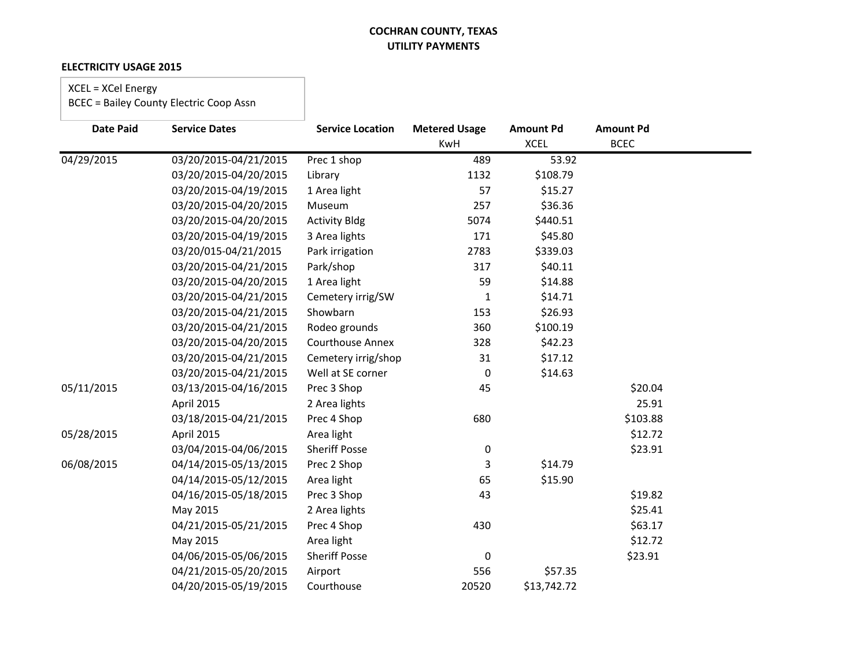### **ELECTRICITY USAGE 2015**

### XCEL = XCel Energy

| <b>Date Paid</b> | <b>Service Dates</b>  | <b>Service Location</b> | <b>Metered Usage</b><br><b>KwH</b> | <b>Amount Pd</b><br><b>XCEL</b> | <b>Amount Pd</b><br><b>BCEC</b> |  |
|------------------|-----------------------|-------------------------|------------------------------------|---------------------------------|---------------------------------|--|
| 04/29/2015       | 03/20/2015-04/21/2015 | Prec 1 shop             | 489                                | 53.92                           |                                 |  |
|                  | 03/20/2015-04/20/2015 | Library                 | 1132                               | \$108.79                        |                                 |  |
|                  | 03/20/2015-04/19/2015 | 1 Area light            | 57                                 | \$15.27                         |                                 |  |
|                  | 03/20/2015-04/20/2015 |                         | 257                                | \$36.36                         |                                 |  |
|                  |                       | Museum                  |                                    |                                 |                                 |  |
|                  | 03/20/2015-04/20/2015 | <b>Activity Bldg</b>    | 5074                               | \$440.51                        |                                 |  |
|                  | 03/20/2015-04/19/2015 | 3 Area lights           | 171                                | \$45.80                         |                                 |  |
|                  | 03/20/015-04/21/2015  | Park irrigation         | 2783                               | \$339.03                        |                                 |  |
|                  | 03/20/2015-04/21/2015 | Park/shop               | 317                                | \$40.11                         |                                 |  |
|                  | 03/20/2015-04/20/2015 | 1 Area light            | 59                                 | \$14.88                         |                                 |  |
|                  | 03/20/2015-04/21/2015 | Cemetery irrig/SW       | 1                                  | \$14.71                         |                                 |  |
|                  | 03/20/2015-04/21/2015 | Showbarn                | 153                                | \$26.93                         |                                 |  |
|                  | 03/20/2015-04/21/2015 | Rodeo grounds           | 360                                | \$100.19                        |                                 |  |
|                  | 03/20/2015-04/20/2015 | <b>Courthouse Annex</b> | 328                                | \$42.23                         |                                 |  |
|                  | 03/20/2015-04/21/2015 | Cemetery irrig/shop     | 31                                 | \$17.12                         |                                 |  |
|                  | 03/20/2015-04/21/2015 | Well at SE corner       | $\mathbf 0$                        | \$14.63                         |                                 |  |
| 05/11/2015       | 03/13/2015-04/16/2015 | Prec 3 Shop             | 45                                 |                                 | \$20.04                         |  |
|                  | April 2015            | 2 Area lights           |                                    |                                 | 25.91                           |  |
|                  | 03/18/2015-04/21/2015 | Prec 4 Shop             | 680                                |                                 | \$103.88                        |  |
| 05/28/2015       | April 2015            | Area light              |                                    |                                 | \$12.72                         |  |
|                  | 03/04/2015-04/06/2015 | <b>Sheriff Posse</b>    | $\pmb{0}$                          |                                 | \$23.91                         |  |
| 06/08/2015       | 04/14/2015-05/13/2015 | Prec 2 Shop             | 3                                  | \$14.79                         |                                 |  |
|                  | 04/14/2015-05/12/2015 | Area light              | 65                                 | \$15.90                         |                                 |  |
|                  | 04/16/2015-05/18/2015 | Prec 3 Shop             | 43                                 |                                 | \$19.82                         |  |
|                  | May 2015              | 2 Area lights           |                                    |                                 | \$25.41                         |  |
|                  | 04/21/2015-05/21/2015 | Prec 4 Shop             | 430                                |                                 | \$63.17                         |  |
|                  | May 2015              | Area light              |                                    |                                 | \$12.72                         |  |
|                  | 04/06/2015-05/06/2015 | <b>Sheriff Posse</b>    | $\pmb{0}$                          |                                 | \$23.91                         |  |
|                  | 04/21/2015-05/20/2015 | Airport                 | 556                                | \$57.35                         |                                 |  |
|                  | 04/20/2015-05/19/2015 | Courthouse              | 20520                              | \$13,742.72                     |                                 |  |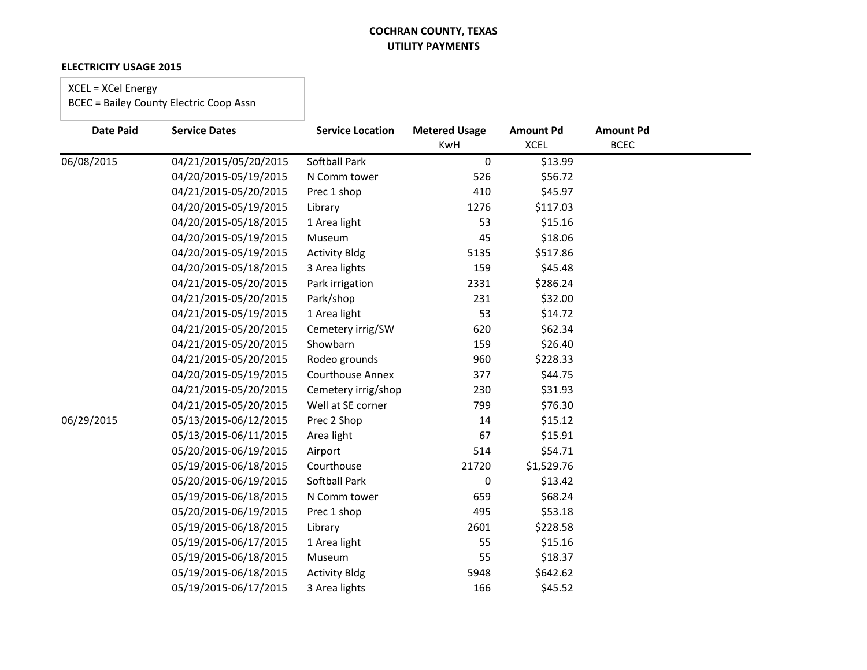### **ELECTRICITY USAGE 2015**

### XCEL = XCel Energy

| <b>Date Paid</b> | <b>Service Dates</b>  | <b>Service Location</b> | <b>Metered Usage</b><br><b>KwH</b> | <b>Amount Pd</b><br><b>XCEL</b> | <b>Amount Pd</b><br><b>BCEC</b> |  |
|------------------|-----------------------|-------------------------|------------------------------------|---------------------------------|---------------------------------|--|
| 06/08/2015       | 04/21/2015/05/20/2015 | <b>Softball Park</b>    | 0                                  | \$13.99                         |                                 |  |
|                  | 04/20/2015-05/19/2015 | N Comm tower            | 526                                | \$56.72                         |                                 |  |
|                  | 04/21/2015-05/20/2015 | Prec 1 shop             | 410                                | \$45.97                         |                                 |  |
|                  | 04/20/2015-05/19/2015 | Library                 | 1276                               | \$117.03                        |                                 |  |
|                  | 04/20/2015-05/18/2015 | 1 Area light            | 53                                 | \$15.16                         |                                 |  |
|                  | 04/20/2015-05/19/2015 | Museum                  | 45                                 | \$18.06                         |                                 |  |
|                  | 04/20/2015-05/19/2015 | <b>Activity Bldg</b>    | 5135                               | \$517.86                        |                                 |  |
|                  | 04/20/2015-05/18/2015 | 3 Area lights           | 159                                | \$45.48                         |                                 |  |
|                  | 04/21/2015-05/20/2015 | Park irrigation         | 2331                               | \$286.24                        |                                 |  |
|                  | 04/21/2015-05/20/2015 | Park/shop               | 231                                | \$32.00                         |                                 |  |
|                  | 04/21/2015-05/19/2015 | 1 Area light            | 53                                 | \$14.72                         |                                 |  |
|                  | 04/21/2015-05/20/2015 | Cemetery irrig/SW       | 620                                | \$62.34                         |                                 |  |
|                  | 04/21/2015-05/20/2015 | Showbarn                | 159                                | \$26.40                         |                                 |  |
|                  | 04/21/2015-05/20/2015 | Rodeo grounds           | 960                                | \$228.33                        |                                 |  |
|                  | 04/20/2015-05/19/2015 | <b>Courthouse Annex</b> | 377                                | \$44.75                         |                                 |  |
|                  | 04/21/2015-05/20/2015 | Cemetery irrig/shop     | 230                                | \$31.93                         |                                 |  |
|                  | 04/21/2015-05/20/2015 | Well at SE corner       | 799                                | \$76.30                         |                                 |  |
| 06/29/2015       | 05/13/2015-06/12/2015 | Prec 2 Shop             | 14                                 | \$15.12                         |                                 |  |
|                  | 05/13/2015-06/11/2015 | Area light              | 67                                 | \$15.91                         |                                 |  |
|                  | 05/20/2015-06/19/2015 | Airport                 | 514                                | \$54.71                         |                                 |  |
|                  | 05/19/2015-06/18/2015 | Courthouse              | 21720                              | \$1,529.76                      |                                 |  |
|                  | 05/20/2015-06/19/2015 | Softball Park           | 0                                  | \$13.42                         |                                 |  |
|                  | 05/19/2015-06/18/2015 | N Comm tower            | 659                                | \$68.24                         |                                 |  |
|                  | 05/20/2015-06/19/2015 | Prec 1 shop             | 495                                | \$53.18                         |                                 |  |
|                  | 05/19/2015-06/18/2015 | Library                 | 2601                               | \$228.58                        |                                 |  |
|                  | 05/19/2015-06/17/2015 | 1 Area light            | 55                                 | \$15.16                         |                                 |  |
|                  | 05/19/2015-06/18/2015 | Museum                  | 55                                 | \$18.37                         |                                 |  |
|                  | 05/19/2015-06/18/2015 | <b>Activity Bldg</b>    | 5948                               | \$642.62                        |                                 |  |
|                  | 05/19/2015-06/17/2015 | 3 Area lights           | 166                                | \$45.52                         |                                 |  |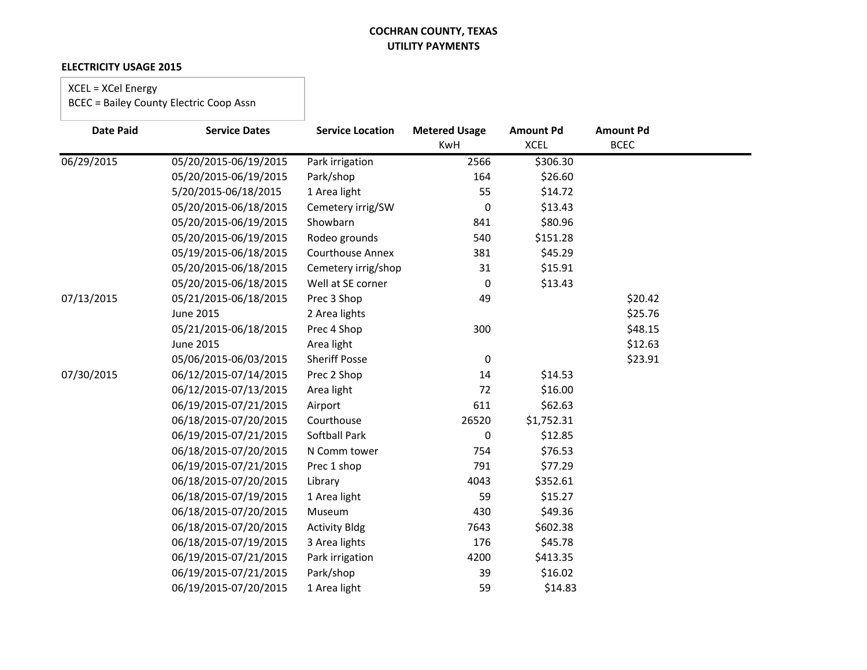### **ELECTRICITY USAGE 2015**

### XCEL = XCel Energy

| <b>Date Paid</b> | <b>Service Dates</b>  | <b>Service Location</b> | <b>Metered Usage</b> | <b>Amount Pd</b> | <b>Amount Pd</b> |  |
|------------------|-----------------------|-------------------------|----------------------|------------------|------------------|--|
|                  |                       |                         | KwH                  | <b>XCEL</b>      | <b>BCEC</b>      |  |
| 06/29/2015       | 05/20/2015-06/19/2015 | Park irrigation         | 2566                 | \$306.30         |                  |  |
|                  | 05/20/2015-06/19/2015 | Park/shop               | 164                  | \$26.60          |                  |  |
|                  | 5/20/2015-06/18/2015  | 1 Area light            | 55                   | \$14.72          |                  |  |
|                  | 05/20/2015-06/18/2015 | Cemetery irrig/SW       | $\mathbf 0$          | \$13.43          |                  |  |
|                  | 05/20/2015-06/19/2015 | Showbarn                | 841                  | \$80.96          |                  |  |
|                  | 05/20/2015-06/19/2015 | Rodeo grounds           | 540                  | \$151.28         |                  |  |
|                  | 05/19/2015-06/18/2015 | <b>Courthouse Annex</b> | 381                  | \$45.29          |                  |  |
|                  | 05/20/2015-06/18/2015 | Cemetery irrig/shop     | 31                   | \$15.91          |                  |  |
|                  | 05/20/2015-06/18/2015 | Well at SE corner       | 0                    | \$13.43          |                  |  |
| 07/13/2015       | 05/21/2015-06/18/2015 | Prec 3 Shop             | 49                   |                  | \$20.42          |  |
|                  | <b>June 2015</b>      | 2 Area lights           |                      |                  | \$25.76          |  |
|                  | 05/21/2015-06/18/2015 | Prec 4 Shop             | 300                  |                  | \$48.15          |  |
|                  | <b>June 2015</b>      | Area light              |                      |                  | \$12.63          |  |
|                  | 05/06/2015-06/03/2015 | <b>Sheriff Posse</b>    | 0                    |                  | \$23.91          |  |
| 07/30/2015       | 06/12/2015-07/14/2015 | Prec 2 Shop             | 14                   | \$14.53          |                  |  |
|                  | 06/12/2015-07/13/2015 | Area light              | 72                   | \$16.00          |                  |  |
|                  | 06/19/2015-07/21/2015 | Airport                 | 611                  | \$62.63          |                  |  |
|                  | 06/18/2015-07/20/2015 | Courthouse              | 26520                | \$1,752.31       |                  |  |
|                  | 06/19/2015-07/21/2015 | <b>Softball Park</b>    | 0                    | \$12.85          |                  |  |
|                  | 06/18/2015-07/20/2015 | N Comm tower            | 754                  | \$76.53          |                  |  |
|                  | 06/19/2015-07/21/2015 | Prec 1 shop             | 791                  | \$77.29          |                  |  |
|                  | 06/18/2015-07/20/2015 | Library                 | 4043                 | \$352.61         |                  |  |
|                  | 06/18/2015-07/19/2015 | 1 Area light            | 59                   | \$15.27          |                  |  |
|                  | 06/18/2015-07/20/2015 | Museum                  | 430                  | \$49.36          |                  |  |
|                  | 06/18/2015-07/20/2015 | <b>Activity Bldg</b>    | 7643                 | \$602.38         |                  |  |
|                  | 06/18/2015-07/19/2015 | 3 Area lights           | 176                  | \$45.78          |                  |  |
|                  | 06/19/2015-07/21/2015 | Park irrigation         | 4200                 | \$413.35         |                  |  |
|                  | 06/19/2015-07/21/2015 | Park/shop               | 39                   | \$16.02          |                  |  |
|                  | 06/19/2015-07/20/2015 | 1 Area light            | 59                   | \$14.83          |                  |  |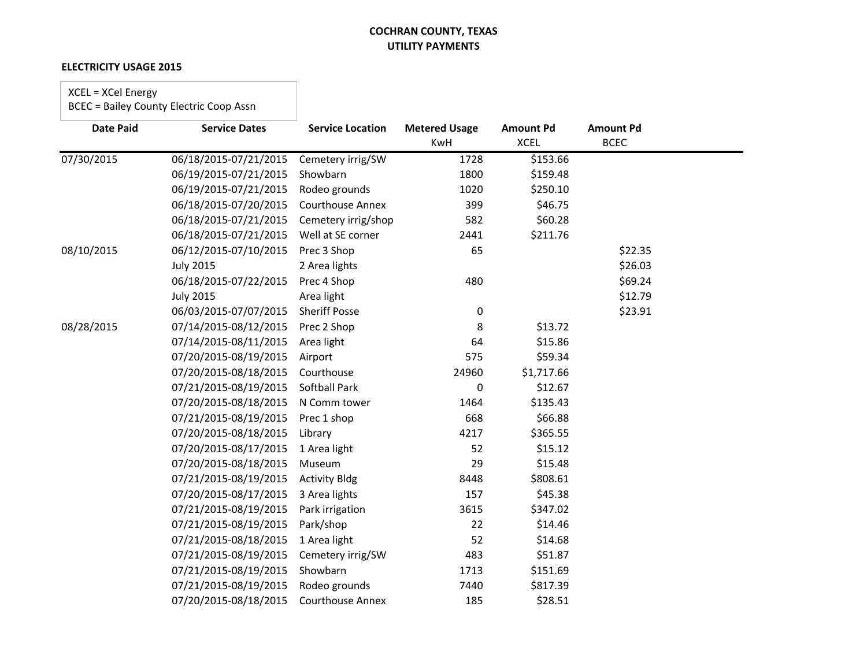### **ELECTRICITY USAGE 2015**

### XCEL = XCel Energy

| <b>Date Paid</b> | <b>Service Dates</b>  | <b>Service Location</b> | <b>Metered Usage</b> | <b>Amount Pd</b> | <b>Amount Pd</b> |  |
|------------------|-----------------------|-------------------------|----------------------|------------------|------------------|--|
|                  |                       |                         | KwH                  | <b>XCEL</b>      | <b>BCEC</b>      |  |
| 07/30/2015       | 06/18/2015-07/21/2015 | Cemetery irrig/SW       | 1728                 | \$153.66         |                  |  |
|                  | 06/19/2015-07/21/2015 | Showbarn                | 1800                 | \$159.48         |                  |  |
|                  | 06/19/2015-07/21/2015 | Rodeo grounds           | 1020                 | \$250.10         |                  |  |
|                  | 06/18/2015-07/20/2015 | <b>Courthouse Annex</b> | 399                  | \$46.75          |                  |  |
|                  | 06/18/2015-07/21/2015 | Cemetery irrig/shop     | 582                  | \$60.28          |                  |  |
|                  | 06/18/2015-07/21/2015 | Well at SE corner       | 2441                 | \$211.76         |                  |  |
| 08/10/2015       | 06/12/2015-07/10/2015 | Prec 3 Shop             | 65                   |                  | \$22.35          |  |
|                  | <b>July 2015</b>      | 2 Area lights           |                      |                  | \$26.03          |  |
|                  | 06/18/2015-07/22/2015 | Prec 4 Shop             | 480                  |                  | \$69.24          |  |
|                  | <b>July 2015</b>      | Area light              |                      |                  | \$12.79          |  |
|                  | 06/03/2015-07/07/2015 | <b>Sheriff Posse</b>    | 0                    |                  | \$23.91          |  |
| 08/28/2015       | 07/14/2015-08/12/2015 | Prec 2 Shop             | 8                    | \$13.72          |                  |  |
|                  | 07/14/2015-08/11/2015 | Area light              | 64                   | \$15.86          |                  |  |
|                  | 07/20/2015-08/19/2015 | Airport                 | 575                  | \$59.34          |                  |  |
|                  | 07/20/2015-08/18/2015 | Courthouse              | 24960                | \$1,717.66       |                  |  |
|                  | 07/21/2015-08/19/2015 | Softball Park           | 0                    | \$12.67          |                  |  |
|                  | 07/20/2015-08/18/2015 | N Comm tower            | 1464                 | \$135.43         |                  |  |
|                  | 07/21/2015-08/19/2015 | Prec 1 shop             | 668                  | \$66.88          |                  |  |
|                  | 07/20/2015-08/18/2015 | Library                 | 4217                 | \$365.55         |                  |  |
|                  | 07/20/2015-08/17/2015 | 1 Area light            | 52                   | \$15.12          |                  |  |
|                  | 07/20/2015-08/18/2015 | Museum                  | 29                   | \$15.48          |                  |  |
|                  | 07/21/2015-08/19/2015 | <b>Activity Bldg</b>    | 8448                 | \$808.61         |                  |  |
|                  | 07/20/2015-08/17/2015 | 3 Area lights           | 157                  | \$45.38          |                  |  |
|                  | 07/21/2015-08/19/2015 | Park irrigation         | 3615                 | \$347.02         |                  |  |
|                  | 07/21/2015-08/19/2015 | Park/shop               | 22                   | \$14.46          |                  |  |
|                  | 07/21/2015-08/18/2015 | 1 Area light            | 52                   | \$14.68          |                  |  |
|                  | 07/21/2015-08/19/2015 | Cemetery irrig/SW       | 483                  | \$51.87          |                  |  |
|                  | 07/21/2015-08/19/2015 | Showbarn                | 1713                 | \$151.69         |                  |  |
|                  | 07/21/2015-08/19/2015 | Rodeo grounds           | 7440                 | \$817.39         |                  |  |
|                  | 07/20/2015-08/18/2015 | <b>Courthouse Annex</b> | 185                  | \$28.51          |                  |  |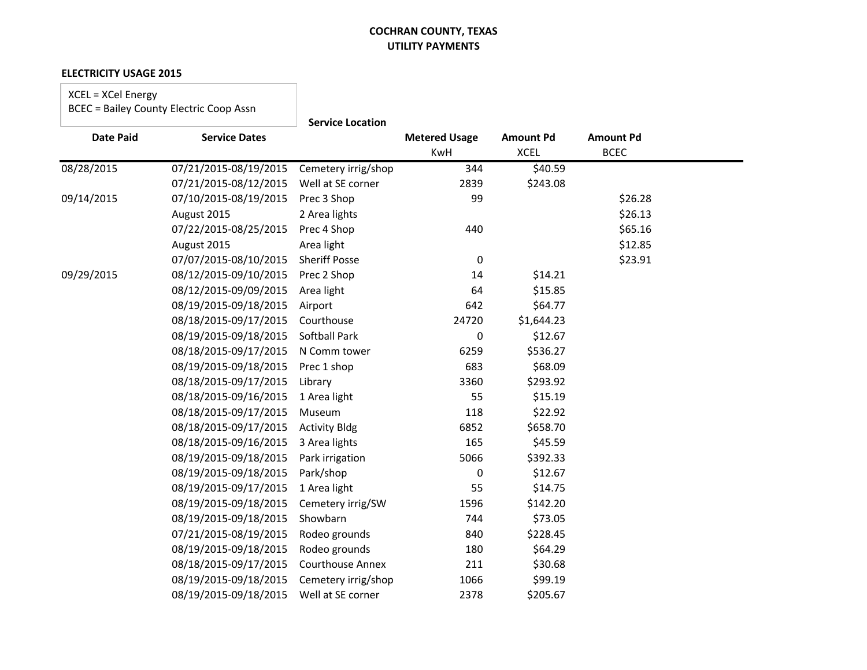#### **ELECTRICITY USAGE 2015**

XCEL = XCel Energy BCEC = Bailey County Electric Coop Assn

|                  |                       | <b>Service Location</b> |                             |                                 |                                 |  |
|------------------|-----------------------|-------------------------|-----------------------------|---------------------------------|---------------------------------|--|
| <b>Date Paid</b> | <b>Service Dates</b>  |                         | <b>Metered Usage</b><br>KwH | <b>Amount Pd</b><br><b>XCEL</b> | <b>Amount Pd</b><br><b>BCEC</b> |  |
| 08/28/2015       | 07/21/2015-08/19/2015 | Cemetery irrig/shop     | 344                         | \$40.59                         |                                 |  |
|                  | 07/21/2015-08/12/2015 | Well at SE corner       | 2839                        | \$243.08                        |                                 |  |
| 09/14/2015       | 07/10/2015-08/19/2015 | Prec 3 Shop             | 99                          |                                 | \$26.28                         |  |
|                  | August 2015           | 2 Area lights           |                             |                                 | \$26.13                         |  |
|                  | 07/22/2015-08/25/2015 | Prec 4 Shop             | 440                         |                                 | \$65.16                         |  |
|                  | August 2015           | Area light              |                             |                                 | \$12.85                         |  |
|                  | 07/07/2015-08/10/2015 | <b>Sheriff Posse</b>    | $\mathbf 0$                 |                                 | \$23.91                         |  |
| 09/29/2015       | 08/12/2015-09/10/2015 | Prec 2 Shop             | 14                          | \$14.21                         |                                 |  |
|                  | 08/12/2015-09/09/2015 | Area light              | 64                          | \$15.85                         |                                 |  |
|                  | 08/19/2015-09/18/2015 | Airport                 | 642                         | \$64.77                         |                                 |  |
|                  | 08/18/2015-09/17/2015 | Courthouse              | 24720                       | \$1,644.23                      |                                 |  |
|                  | 08/19/2015-09/18/2015 | <b>Softball Park</b>    | 0                           | \$12.67                         |                                 |  |
|                  | 08/18/2015-09/17/2015 | N Comm tower            | 6259                        | \$536.27                        |                                 |  |
|                  | 08/19/2015-09/18/2015 | Prec 1 shop             | 683                         | \$68.09                         |                                 |  |
|                  | 08/18/2015-09/17/2015 | Library                 | 3360                        | \$293.92                        |                                 |  |
|                  | 08/18/2015-09/16/2015 | 1 Area light            | 55                          | \$15.19                         |                                 |  |
|                  | 08/18/2015-09/17/2015 | Museum                  | 118                         | \$22.92                         |                                 |  |
|                  | 08/18/2015-09/17/2015 | <b>Activity Bldg</b>    | 6852                        | \$658.70                        |                                 |  |
|                  | 08/18/2015-09/16/2015 | 3 Area lights           | 165                         | \$45.59                         |                                 |  |
|                  | 08/19/2015-09/18/2015 | Park irrigation         | 5066                        | \$392.33                        |                                 |  |
|                  | 08/19/2015-09/18/2015 | Park/shop               | 0                           | \$12.67                         |                                 |  |
|                  | 08/19/2015-09/17/2015 | 1 Area light            | 55                          | \$14.75                         |                                 |  |
|                  | 08/19/2015-09/18/2015 | Cemetery irrig/SW       | 1596                        | \$142.20                        |                                 |  |
|                  | 08/19/2015-09/18/2015 | Showbarn                | 744                         | \$73.05                         |                                 |  |
|                  | 07/21/2015-08/19/2015 | Rodeo grounds           | 840                         | \$228.45                        |                                 |  |
|                  | 08/19/2015-09/18/2015 | Rodeo grounds           | 180                         | \$64.29                         |                                 |  |
|                  | 08/18/2015-09/17/2015 | <b>Courthouse Annex</b> | 211                         | \$30.68                         |                                 |  |
|                  | 08/19/2015-09/18/2015 | Cemetery irrig/shop     | 1066                        | \$99.19                         |                                 |  |
|                  | 08/19/2015-09/18/2015 | Well at SE corner       | 2378                        | \$205.67                        |                                 |  |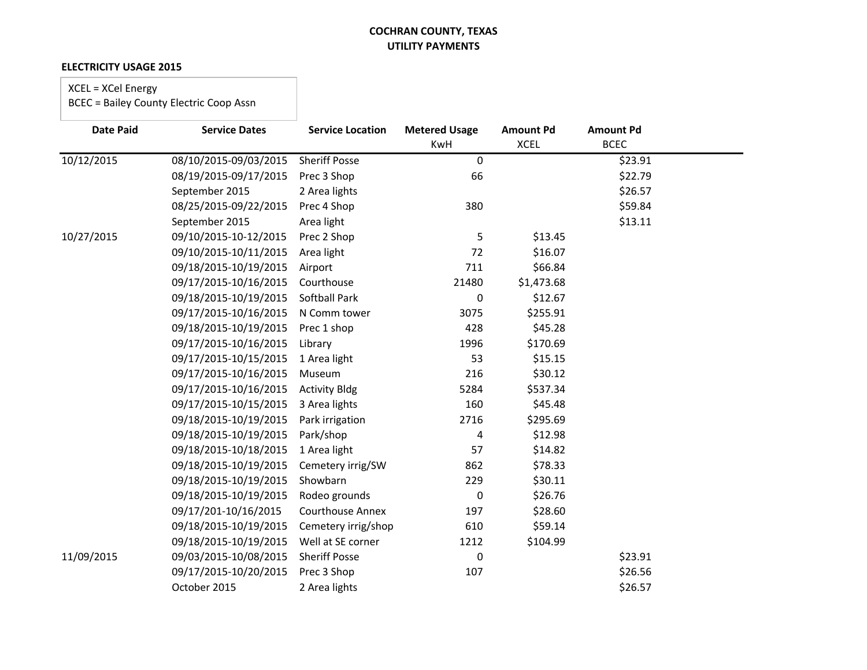### **ELECTRICITY USAGE 2015**

### XCEL = XCel Energy

| <b>Date Paid</b> | <b>Service Dates</b>  | <b>Service Location</b> | <b>Metered Usage</b> | <b>Amount Pd</b> | <b>Amount Pd</b> |  |
|------------------|-----------------------|-------------------------|----------------------|------------------|------------------|--|
|                  |                       |                         | <b>KwH</b>           | <b>XCEL</b>      | <b>BCEC</b>      |  |
| 10/12/2015       | 08/10/2015-09/03/2015 | <b>Sheriff Posse</b>    | $\mathbf 0$          |                  | \$23.91          |  |
|                  | 08/19/2015-09/17/2015 | Prec 3 Shop             | 66                   |                  | \$22.79          |  |
|                  | September 2015        | 2 Area lights           |                      |                  | \$26.57          |  |
|                  | 08/25/2015-09/22/2015 | Prec 4 Shop             | 380                  |                  | \$59.84          |  |
|                  | September 2015        | Area light              |                      |                  | \$13.11          |  |
| 10/27/2015       | 09/10/2015-10-12/2015 | Prec 2 Shop             | 5                    | \$13.45          |                  |  |
|                  | 09/10/2015-10/11/2015 | Area light              | 72                   | \$16.07          |                  |  |
|                  | 09/18/2015-10/19/2015 | Airport                 | 711                  | \$66.84          |                  |  |
|                  | 09/17/2015-10/16/2015 | Courthouse              | 21480                | \$1,473.68       |                  |  |
|                  | 09/18/2015-10/19/2015 | Softball Park           | 0                    | \$12.67          |                  |  |
|                  | 09/17/2015-10/16/2015 | N Comm tower            | 3075                 | \$255.91         |                  |  |
|                  | 09/18/2015-10/19/2015 | Prec 1 shop             | 428                  | \$45.28          |                  |  |
|                  | 09/17/2015-10/16/2015 | Library                 | 1996                 | \$170.69         |                  |  |
|                  | 09/17/2015-10/15/2015 | 1 Area light            | 53                   | \$15.15          |                  |  |
|                  | 09/17/2015-10/16/2015 | Museum                  | 216                  | \$30.12          |                  |  |
|                  | 09/17/2015-10/16/2015 | <b>Activity Bldg</b>    | 5284                 | \$537.34         |                  |  |
|                  | 09/17/2015-10/15/2015 | 3 Area lights           | 160                  | \$45.48          |                  |  |
|                  | 09/18/2015-10/19/2015 | Park irrigation         | 2716                 | \$295.69         |                  |  |
|                  | 09/18/2015-10/19/2015 | Park/shop               | 4                    | \$12.98          |                  |  |
|                  | 09/18/2015-10/18/2015 | 1 Area light            | 57                   | \$14.82          |                  |  |
|                  | 09/18/2015-10/19/2015 | Cemetery irrig/SW       | 862                  | \$78.33          |                  |  |
|                  | 09/18/2015-10/19/2015 | Showbarn                | 229                  | \$30.11          |                  |  |
|                  | 09/18/2015-10/19/2015 | Rodeo grounds           | 0                    | \$26.76          |                  |  |
|                  | 09/17/201-10/16/2015  | <b>Courthouse Annex</b> | 197                  | \$28.60          |                  |  |
|                  | 09/18/2015-10/19/2015 | Cemetery irrig/shop     | 610                  | \$59.14          |                  |  |
|                  | 09/18/2015-10/19/2015 | Well at SE corner       | 1212                 | \$104.99         |                  |  |
| 11/09/2015       | 09/03/2015-10/08/2015 | <b>Sheriff Posse</b>    | 0                    |                  | \$23.91          |  |
|                  | 09/17/2015-10/20/2015 | Prec 3 Shop             | 107                  |                  | \$26.56          |  |
|                  | October 2015          | 2 Area lights           |                      |                  | \$26.57          |  |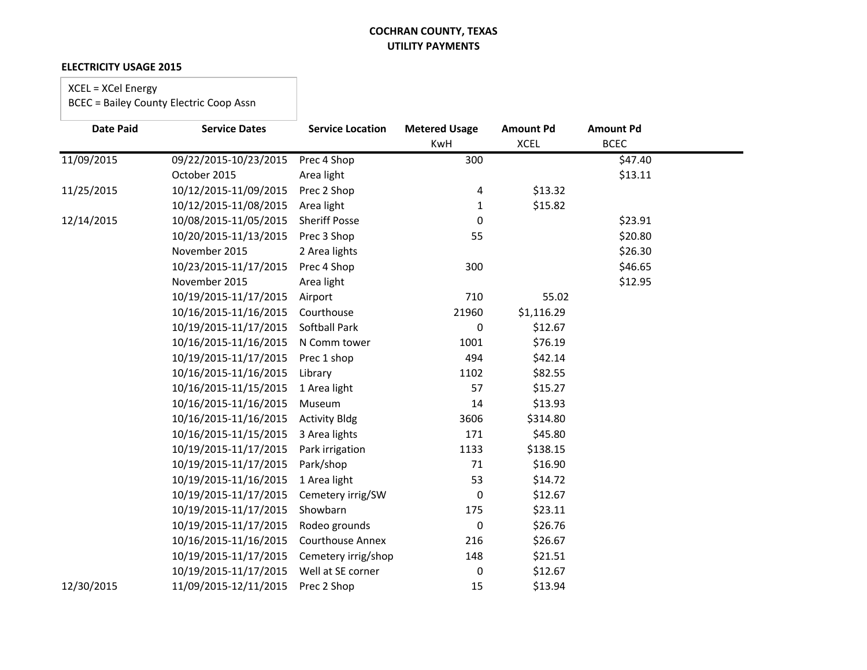#### **ELECTRICITY USAGE 2015**

### XCEL = XCel Energy

| <b>Date Paid</b> | <b>Service Dates</b>  | <b>Service Location</b> | <b>Metered Usage</b><br>KwH | <b>Amount Pd</b><br><b>XCEL</b> | <b>Amount Pd</b><br><b>BCEC</b> |  |
|------------------|-----------------------|-------------------------|-----------------------------|---------------------------------|---------------------------------|--|
| 11/09/2015       | 09/22/2015-10/23/2015 | Prec 4 Shop             | 300                         |                                 | \$47.40                         |  |
|                  | October 2015          | Area light              |                             |                                 | \$13.11                         |  |
|                  | 10/12/2015-11/09/2015 |                         |                             |                                 |                                 |  |
| 11/25/2015       |                       | Prec 2 Shop             | 4                           | \$13.32                         |                                 |  |
|                  | 10/12/2015-11/08/2015 | Area light              | 1                           | \$15.82                         |                                 |  |
| 12/14/2015       | 10/08/2015-11/05/2015 | <b>Sheriff Posse</b>    | 0                           |                                 | \$23.91                         |  |
|                  | 10/20/2015-11/13/2015 | Prec 3 Shop             | 55                          |                                 | \$20.80                         |  |
|                  | November 2015         | 2 Area lights           |                             |                                 | \$26.30                         |  |
|                  | 10/23/2015-11/17/2015 | Prec 4 Shop             | 300                         |                                 | \$46.65                         |  |
|                  | November 2015         | Area light              |                             |                                 | \$12.95                         |  |
|                  | 10/19/2015-11/17/2015 | Airport                 | 710                         | 55.02                           |                                 |  |
|                  | 10/16/2015-11/16/2015 | Courthouse              | 21960                       | \$1,116.29                      |                                 |  |
|                  | 10/19/2015-11/17/2015 | <b>Softball Park</b>    | 0                           | \$12.67                         |                                 |  |
|                  | 10/16/2015-11/16/2015 | N Comm tower            | 1001                        | \$76.19                         |                                 |  |
|                  | 10/19/2015-11/17/2015 | Prec 1 shop             | 494                         | \$42.14                         |                                 |  |
|                  | 10/16/2015-11/16/2015 | Library                 | 1102                        | \$82.55                         |                                 |  |
|                  | 10/16/2015-11/15/2015 | 1 Area light            | 57                          | \$15.27                         |                                 |  |
|                  | 10/16/2015-11/16/2015 | Museum                  | 14                          | \$13.93                         |                                 |  |
|                  | 10/16/2015-11/16/2015 | <b>Activity Bldg</b>    | 3606                        | \$314.80                        |                                 |  |
|                  | 10/16/2015-11/15/2015 | 3 Area lights           | 171                         | \$45.80                         |                                 |  |
|                  | 10/19/2015-11/17/2015 | Park irrigation         | 1133                        | \$138.15                        |                                 |  |
|                  | 10/19/2015-11/17/2015 | Park/shop               | 71                          | \$16.90                         |                                 |  |
|                  | 10/19/2015-11/16/2015 | 1 Area light            | 53                          | \$14.72                         |                                 |  |
|                  | 10/19/2015-11/17/2015 | Cemetery irrig/SW       | 0                           | \$12.67                         |                                 |  |
|                  | 10/19/2015-11/17/2015 | Showbarn                | 175                         | \$23.11                         |                                 |  |
|                  | 10/19/2015-11/17/2015 | Rodeo grounds           | $\pmb{0}$                   | \$26.76                         |                                 |  |
|                  | 10/16/2015-11/16/2015 | <b>Courthouse Annex</b> | 216                         | \$26.67                         |                                 |  |
|                  | 10/19/2015-11/17/2015 | Cemetery irrig/shop     | 148                         | \$21.51                         |                                 |  |
|                  | 10/19/2015-11/17/2015 | Well at SE corner       | 0                           | \$12.67                         |                                 |  |
| 12/30/2015       | 11/09/2015-12/11/2015 | Prec 2 Shop             | 15                          | \$13.94                         |                                 |  |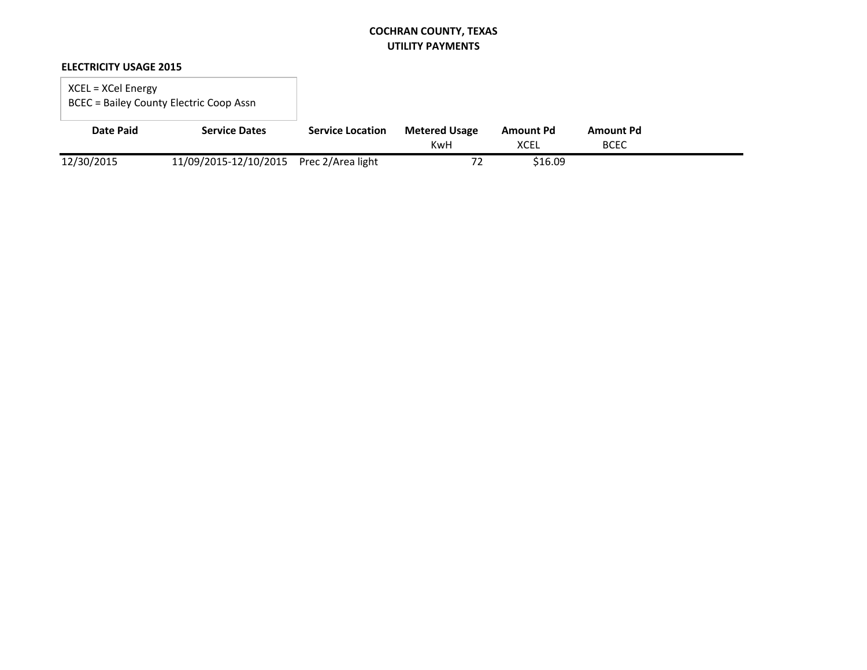### **ELECTRICITY USAGE 2015**

### XCEL = XCel Energy BCEC = Bailey County Electric Coop Assn

| <b>Date Paid</b> | <b>Service Dates</b>                    | <b>Service Location</b> | <b>Metered Usage</b> | Amount Pd   | <b>Amount Pd</b> |  |
|------------------|-----------------------------------------|-------------------------|----------------------|-------------|------------------|--|
|                  |                                         |                         | KwH                  | <b>XCEL</b> | <b>BCEC</b>      |  |
| 12/30/2015       | 11/09/2015-12/10/2015 Prec 2/Area light |                         |                      | \$16.09     |                  |  |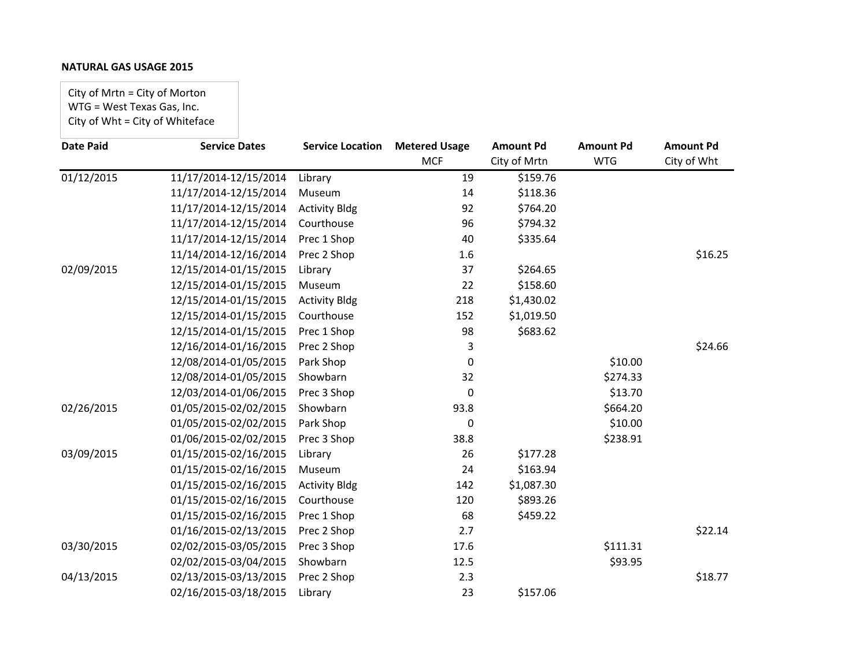City of Mrtn = City of Morton WTG = West Texas Gas, Inc. City of Wht = City of Whiteface

| <b>Date Paid</b>        | <b>Service Dates</b>  | <b>Service Location</b> | <b>Metered Usage</b> | <b>Amount Pd</b> | <b>Amount Pd</b> | <b>Amount Pd</b> |
|-------------------------|-----------------------|-------------------------|----------------------|------------------|------------------|------------------|
|                         |                       |                         | <b>MCF</b>           | City of Mrtn     | <b>WTG</b>       | City of Wht      |
| $\overline{01/12/2015}$ | 11/17/2014-12/15/2014 | Library                 | 19                   | \$159.76         |                  |                  |
|                         | 11/17/2014-12/15/2014 | Museum                  | 14                   | \$118.36         |                  |                  |
|                         | 11/17/2014-12/15/2014 | <b>Activity Bldg</b>    | 92                   | \$764.20         |                  |                  |
|                         | 11/17/2014-12/15/2014 | Courthouse              | 96                   | \$794.32         |                  |                  |
|                         | 11/17/2014-12/15/2014 | Prec 1 Shop             | 40                   | \$335.64         |                  |                  |
|                         | 11/14/2014-12/16/2014 | Prec 2 Shop             | 1.6                  |                  |                  | \$16.25          |
| 02/09/2015              | 12/15/2014-01/15/2015 | Library                 | 37                   | \$264.65         |                  |                  |
|                         | 12/15/2014-01/15/2015 | Museum                  | 22                   | \$158.60         |                  |                  |
|                         | 12/15/2014-01/15/2015 | <b>Activity Bldg</b>    | 218                  | \$1,430.02       |                  |                  |
|                         | 12/15/2014-01/15/2015 | Courthouse              | 152                  | \$1,019.50       |                  |                  |
|                         | 12/15/2014-01/15/2015 | Prec 1 Shop             | 98                   | \$683.62         |                  |                  |
|                         | 12/16/2014-01/16/2015 | Prec 2 Shop             | 3                    |                  |                  | \$24.66          |
|                         | 12/08/2014-01/05/2015 | Park Shop               | 0                    |                  | \$10.00          |                  |
|                         | 12/08/2014-01/05/2015 | Showbarn                | 32                   |                  | \$274.33         |                  |
|                         | 12/03/2014-01/06/2015 | Prec 3 Shop             | 0                    |                  | \$13.70          |                  |
| 02/26/2015              | 01/05/2015-02/02/2015 | Showbarn                | 93.8                 |                  | \$664.20         |                  |
|                         | 01/05/2015-02/02/2015 | Park Shop               | 0                    |                  | \$10.00          |                  |
|                         | 01/06/2015-02/02/2015 | Prec 3 Shop             | 38.8                 |                  | \$238.91         |                  |
| 03/09/2015              | 01/15/2015-02/16/2015 | Library                 | 26                   | \$177.28         |                  |                  |
|                         | 01/15/2015-02/16/2015 | Museum                  | 24                   | \$163.94         |                  |                  |
|                         | 01/15/2015-02/16/2015 | <b>Activity Bldg</b>    | 142                  | \$1,087.30       |                  |                  |
|                         | 01/15/2015-02/16/2015 | Courthouse              | 120                  | \$893.26         |                  |                  |
|                         | 01/15/2015-02/16/2015 | Prec 1 Shop             | 68                   | \$459.22         |                  |                  |
|                         | 01/16/2015-02/13/2015 | Prec 2 Shop             | 2.7                  |                  |                  | \$22.14          |
| 03/30/2015              | 02/02/2015-03/05/2015 | Prec 3 Shop             | 17.6                 |                  | \$111.31         |                  |
|                         | 02/02/2015-03/04/2015 | Showbarn                | 12.5                 |                  | \$93.95          |                  |
| 04/13/2015              | 02/13/2015-03/13/2015 | Prec 2 Shop             | 2.3                  |                  |                  | \$18.77          |
|                         | 02/16/2015-03/18/2015 | Library                 | 23                   | \$157.06         |                  |                  |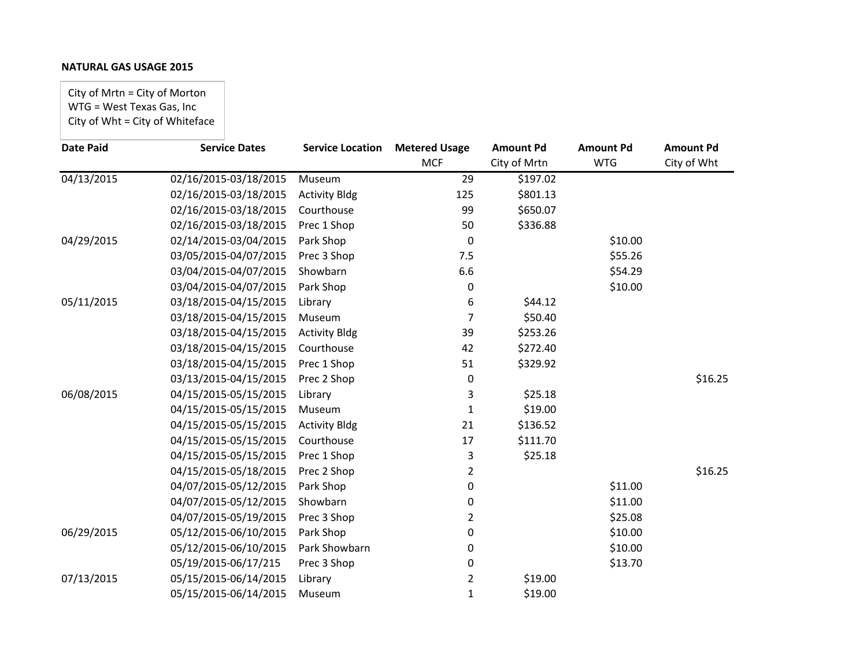City of Mrtn = City of Morton WTG = West Texas Gas, Inc City of Wht = City of Whiteface

| <b>Service Dates</b>  | <b>Service Location</b> | <b>Metered Usage</b> | <b>Amount Pd</b> | <b>Amount Pd</b> | <b>Amount Pd</b> |
|-----------------------|-------------------------|----------------------|------------------|------------------|------------------|
|                       |                         | <b>MCF</b>           | City of Mrtn     | <b>WTG</b>       | City of Wht      |
| 02/16/2015-03/18/2015 | Museum                  | 29                   | \$197.02         |                  |                  |
| 02/16/2015-03/18/2015 | <b>Activity Bldg</b>    | 125                  | \$801.13         |                  |                  |
| 02/16/2015-03/18/2015 | Courthouse              | 99                   | \$650.07         |                  |                  |
| 02/16/2015-03/18/2015 | Prec 1 Shop             | 50                   | \$336.88         |                  |                  |
| 02/14/2015-03/04/2015 | Park Shop               | 0                    |                  | \$10.00          |                  |
| 03/05/2015-04/07/2015 | Prec 3 Shop             | 7.5                  |                  | \$55.26          |                  |
| 03/04/2015-04/07/2015 | Showbarn                | 6.6                  |                  | \$54.29          |                  |
| 03/04/2015-04/07/2015 | Park Shop               | 0                    |                  | \$10.00          |                  |
| 03/18/2015-04/15/2015 | Library                 | 6                    | \$44.12          |                  |                  |
| 03/18/2015-04/15/2015 | Museum                  | 7                    | \$50.40          |                  |                  |
| 03/18/2015-04/15/2015 | <b>Activity Bldg</b>    | 39                   | \$253.26         |                  |                  |
| 03/18/2015-04/15/2015 | Courthouse              | 42                   | \$272.40         |                  |                  |
| 03/18/2015-04/15/2015 | Prec 1 Shop             | 51                   | \$329.92         |                  |                  |
| 03/13/2015-04/15/2015 | Prec 2 Shop             | 0                    |                  |                  | \$16.25          |
| 04/15/2015-05/15/2015 | Library                 | 3                    | \$25.18          |                  |                  |
| 04/15/2015-05/15/2015 | Museum                  | 1                    | \$19.00          |                  |                  |
| 04/15/2015-05/15/2015 | <b>Activity Bldg</b>    | 21                   | \$136.52         |                  |                  |
| 04/15/2015-05/15/2015 | Courthouse              | 17                   | \$111.70         |                  |                  |
| 04/15/2015-05/15/2015 | Prec 1 Shop             | 3                    | \$25.18          |                  |                  |
| 04/15/2015-05/18/2015 | Prec 2 Shop             | 2                    |                  |                  | \$16.25          |
| 04/07/2015-05/12/2015 | Park Shop               | 0                    |                  | \$11.00          |                  |
| 04/07/2015-05/12/2015 | Showbarn                | 0                    |                  | \$11.00          |                  |
| 04/07/2015-05/19/2015 | Prec 3 Shop             | 2                    |                  | \$25.08          |                  |
| 05/12/2015-06/10/2015 | Park Shop               | 0                    |                  | \$10.00          |                  |
| 05/12/2015-06/10/2015 | Park Showbarn           | 0                    |                  | \$10.00          |                  |
| 05/19/2015-06/17/215  | Prec 3 Shop             | 0                    |                  | \$13.70          |                  |
| 05/15/2015-06/14/2015 | Library                 | $\overline{2}$       | \$19.00          |                  |                  |
| 05/15/2015-06/14/2015 | Museum                  | 1                    | \$19.00          |                  |                  |
|                       |                         |                      |                  |                  |                  |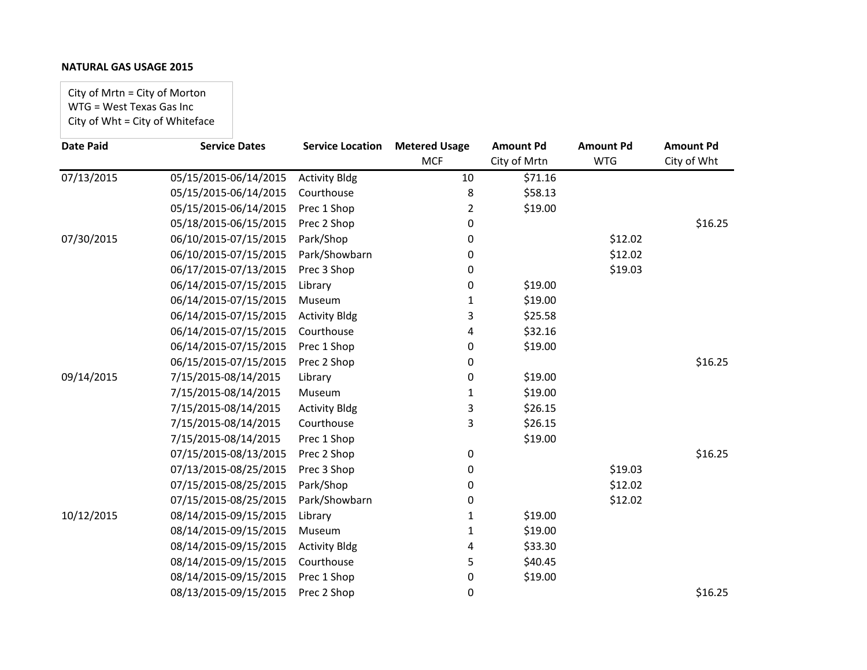City of Mrtn = City of Morton WTG = West Texas Gas Inc City of Wht = City of Whiteface

| <b>Date Paid</b> | <b>Service Dates</b>  | <b>Service Location</b> | <b>Metered Usage</b> | <b>Amount Pd</b> | <b>Amount Pd</b> | <b>Amount Pd</b> |
|------------------|-----------------------|-------------------------|----------------------|------------------|------------------|------------------|
|                  |                       |                         | <b>MCF</b>           | City of Mrtn     | <b>WTG</b>       | City of Wht      |
| 07/13/2015       | 05/15/2015-06/14/2015 | <b>Activity Bldg</b>    | 10                   | \$71.16          |                  |                  |
|                  | 05/15/2015-06/14/2015 | Courthouse              | 8                    | \$58.13          |                  |                  |
|                  | 05/15/2015-06/14/2015 | Prec 1 Shop             | $\overline{2}$       | \$19.00          |                  |                  |
|                  | 05/18/2015-06/15/2015 | Prec 2 Shop             | 0                    |                  |                  | \$16.25          |
| 07/30/2015       | 06/10/2015-07/15/2015 | Park/Shop               | 0                    |                  | \$12.02          |                  |
|                  | 06/10/2015-07/15/2015 | Park/Showbarn           | 0                    |                  | \$12.02          |                  |
|                  | 06/17/2015-07/13/2015 | Prec 3 Shop             | 0                    |                  | \$19.03          |                  |
|                  | 06/14/2015-07/15/2015 | Library                 | 0                    | \$19.00          |                  |                  |
|                  | 06/14/2015-07/15/2015 | Museum                  | 1                    | \$19.00          |                  |                  |
|                  | 06/14/2015-07/15/2015 | <b>Activity Bldg</b>    | 3                    | \$25.58          |                  |                  |
|                  | 06/14/2015-07/15/2015 | Courthouse              | 4                    | \$32.16          |                  |                  |
|                  | 06/14/2015-07/15/2015 | Prec 1 Shop             | 0                    | \$19.00          |                  |                  |
|                  | 06/15/2015-07/15/2015 | Prec 2 Shop             | 0                    |                  |                  | \$16.25          |
| 09/14/2015       | 7/15/2015-08/14/2015  | Library                 | 0                    | \$19.00          |                  |                  |
|                  | 7/15/2015-08/14/2015  | Museum                  | 1                    | \$19.00          |                  |                  |
|                  | 7/15/2015-08/14/2015  | <b>Activity Bldg</b>    | 3                    | \$26.15          |                  |                  |
|                  | 7/15/2015-08/14/2015  | Courthouse              | 3                    | \$26.15          |                  |                  |
|                  | 7/15/2015-08/14/2015  | Prec 1 Shop             |                      | \$19.00          |                  |                  |
|                  | 07/15/2015-08/13/2015 | Prec 2 Shop             | 0                    |                  |                  | \$16.25          |
|                  | 07/13/2015-08/25/2015 | Prec 3 Shop             | 0                    |                  | \$19.03          |                  |
|                  | 07/15/2015-08/25/2015 | Park/Shop               | 0                    |                  | \$12.02          |                  |
|                  | 07/15/2015-08/25/2015 | Park/Showbarn           | 0                    |                  | \$12.02          |                  |
| 10/12/2015       | 08/14/2015-09/15/2015 | Library                 | 1                    | \$19.00          |                  |                  |
|                  | 08/14/2015-09/15/2015 | Museum                  | 1                    | \$19.00          |                  |                  |
|                  | 08/14/2015-09/15/2015 | <b>Activity Bldg</b>    | 4                    | \$33.30          |                  |                  |
|                  | 08/14/2015-09/15/2015 | Courthouse              | 5                    | \$40.45          |                  |                  |
|                  | 08/14/2015-09/15/2015 | Prec 1 Shop             | 0                    | \$19.00          |                  |                  |
|                  | 08/13/2015-09/15/2015 | Prec 2 Shop             | 0                    |                  |                  | \$16.25          |